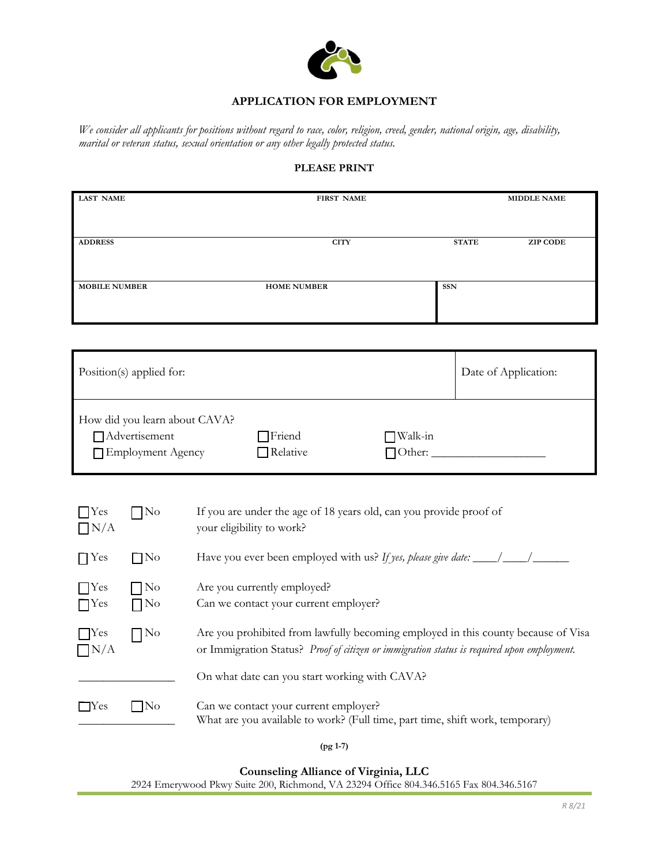

*We consider all applicants for positions without regard to race, color, religion, creed, gender, national origin, age, disability, marital or veteran status, sexual orientation or any other legally protected status.* 

#### **PLEASE PRINT**

| <b>LAST NAME</b>     | <b>FIRST NAME</b>  |              | <b>MIDDLE NAME</b> |  |
|----------------------|--------------------|--------------|--------------------|--|
|                      |                    |              |                    |  |
| <b>ADDRESS</b>       | <b>CITY</b>        | <b>STATE</b> | <b>ZIP CODE</b>    |  |
|                      |                    |              |                    |  |
| <b>MOBILE NUMBER</b> | <b>HOME NUMBER</b> | <b>SSN</b>   |                    |  |
|                      |                    |              |                    |  |
|                      |                    |              |                    |  |

| Position(s) applied for:                                            |                    |                                 | Date of Application: |
|---------------------------------------------------------------------|--------------------|---------------------------------|----------------------|
| How did you learn about CAVA?<br>Advertisement<br>Employment Agency | Friend<br>Relative | $\Box$ Walk-in<br>$\Box$ Other: |                      |

| $\Box$ Yes<br>$\Box N/A$   | [No            | If you are under the age of 18 years old, can you provide proof of<br>your eligibility to work?                                                                                 |
|----------------------------|----------------|---------------------------------------------------------------------------------------------------------------------------------------------------------------------------------|
| $\Box$ Yes                 | 7No            |                                                                                                                                                                                 |
| $\Box$ Yes<br>$\Box$ Yes   | - No<br>- No   | Are you currently employed?<br>Can we contact your current employer?                                                                                                            |
| $\Gamma$ Yes<br>$\Box N/A$ | No             | Are you prohibited from lawfully becoming employed in this county because of Visa<br>or Immigration Status? Proof of citizen or immigration status is required upon employment. |
|                            |                | On what date can you start working with CAVA?                                                                                                                                   |
| l Yes                      | $\overline{N}$ | Can we contact your current employer?<br>What are you available to work? (Full time, part time, shift work, temporary)                                                          |

**(pg 1-7)**

**Counseling Alliance of Virginia, LLC** 

2924 Emerywood Pkwy Suite 200, Richmond, VA 23294 Office 804.346.5165 Fax 804.346.5167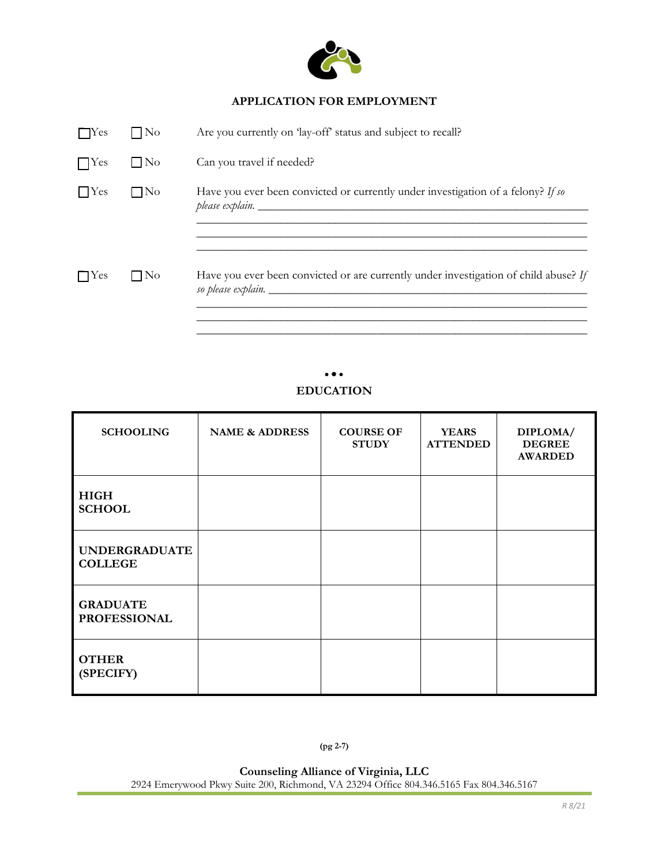

| - I No    | Are you currently on 'lay-off' status and subject to recall?                                               |
|-----------|------------------------------------------------------------------------------------------------------------|
| $\Box$ No | Can you travel if needed?                                                                                  |
| $\neg$ No | Have you ever been convicted or currently under investigation of a felony? If so                           |
| - I No    | Have you ever been convicted or are currently under investigation of child abuse? If<br>so please explain. |
|           |                                                                                                            |

# **... EDUCATION**

| <b>SCHOOLING</b>                       | <b>NAME &amp; ADDRESS</b> | <b>COURSE OF</b><br><b>STUDY</b> | <b>YEARS</b><br><b>ATTENDED</b> | DIPLOMA/<br><b>DEGREE</b><br><b>AWARDED</b> |
|----------------------------------------|---------------------------|----------------------------------|---------------------------------|---------------------------------------------|
| <b>HIGH</b><br><b>SCHOOL</b>           |                           |                                  |                                 |                                             |
| <b>UNDERGRADUATE</b><br><b>COLLEGE</b> |                           |                                  |                                 |                                             |
| <b>GRADUATE</b><br><b>PROFESSIONAL</b> |                           |                                  |                                 |                                             |
| <b>OTHER</b><br>(SPECIFY)              |                           |                                  |                                 |                                             |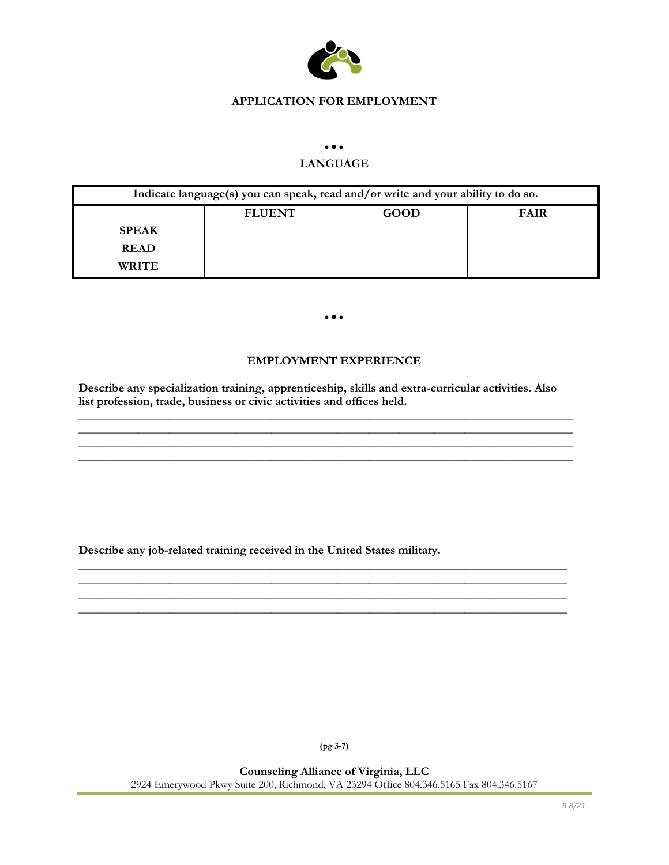

#### **...**

## **LANGUAGE**

| Indicate language(s) you can speak, read and/or write and your ability to do so. |               |      |             |
|----------------------------------------------------------------------------------|---------------|------|-------------|
|                                                                                  | <b>FLUENT</b> | GOOD | <b>FAIR</b> |
| <b>SPEAK</b>                                                                     |               |      |             |
| <b>READ</b>                                                                      |               |      |             |
| <b>WRITE</b>                                                                     |               |      |             |

#### **...**

### **EMPLOYMENT EXPERIENCE**

**Describe any specialization training, apprenticeship, skills and extra-curricular activities. Also list profession, trade, business or civic activities and offices held.** 

**\_\_\_\_\_\_\_\_\_\_\_\_\_\_\_\_\_\_\_\_\_\_\_\_\_\_\_\_\_\_\_\_\_\_\_\_\_\_\_\_\_\_\_\_\_\_\_\_\_\_\_\_\_\_\_\_\_\_\_\_\_\_\_\_\_\_\_\_\_\_\_\_\_\_\_\_\_\_\_\_\_\_**

**\_\_\_\_\_\_\_\_\_\_\_\_\_\_\_\_\_\_\_\_\_\_\_\_\_\_\_\_\_\_\_\_\_\_\_\_\_\_\_\_\_\_\_\_\_\_\_\_\_\_\_\_\_\_\_\_\_\_\_\_\_\_\_\_\_\_\_\_\_\_\_\_\_\_\_\_\_\_\_\_\_\_**

**\_\_\_\_\_\_\_\_\_\_\_\_\_\_\_\_\_\_\_\_\_\_\_\_\_\_\_\_\_\_\_\_\_\_\_\_\_\_\_\_\_\_\_\_\_\_\_\_\_\_\_\_\_\_\_\_\_\_\_\_\_\_\_\_\_\_\_\_\_\_\_\_\_\_\_\_\_\_\_\_\_ \_\_\_\_\_\_\_\_\_\_\_\_\_\_\_\_\_\_\_\_\_\_\_\_\_\_\_\_\_\_\_\_\_\_\_\_\_\_\_\_\_\_\_\_\_\_\_\_\_\_\_\_\_\_\_\_\_\_\_\_\_\_\_\_\_\_\_\_\_\_\_\_\_\_\_\_\_\_\_\_\_ \_\_\_\_\_\_\_\_\_\_\_\_\_\_\_\_\_\_\_\_\_\_\_\_\_\_\_\_\_\_\_\_\_\_\_\_\_\_\_\_\_\_\_\_\_\_\_\_\_\_\_\_\_\_\_\_\_\_\_\_\_\_\_\_\_\_\_\_\_\_\_\_\_\_\_\_\_\_\_\_\_ \_\_\_\_\_\_\_\_\_\_\_\_\_\_\_\_\_\_\_\_\_\_\_\_\_\_\_\_\_\_\_\_\_\_\_\_\_\_\_\_\_\_\_\_\_\_\_\_\_\_\_\_\_\_\_\_\_\_\_\_\_\_\_\_\_\_\_\_\_\_\_\_\_\_\_\_\_\_\_\_\_**

**Describe any job-related training received in the United States military.**

**(pg 3-7)**

**Counseling Alliance of Virginia, LLC**  2924 Emerywood Pkwy Suite 200, Richmond, VA 23294 Office 804.346.5165 Fax 804.346.5167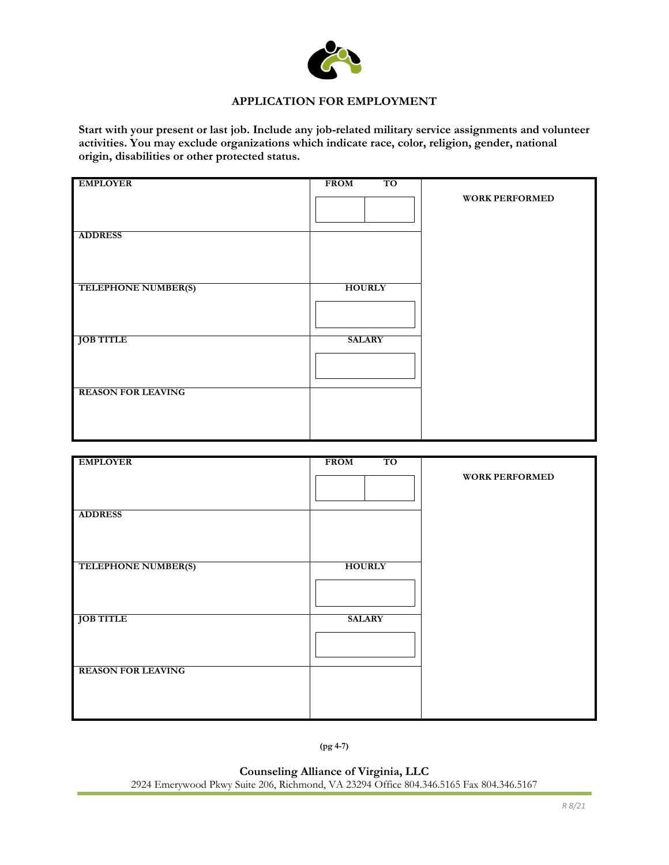

**Start with your present or last job. Include any job-related military service assignments and volunteer activities. You may exclude organizations which indicate race, color, religion, gender, national origin, disabilities or other protected status.** 

| <b>EMPLOYER</b>            | <b>FROM</b><br>TO |                       |
|----------------------------|-------------------|-----------------------|
|                            |                   | <b>WORK PERFORMED</b> |
| <b>ADDRESS</b>             |                   |                       |
| <b>TELEPHONE NUMBER(S)</b> | <b>HOURLY</b>     |                       |
| <b>JOB TITLE</b>           | <b>SALARY</b>     |                       |
| <b>REASON FOR LEAVING</b>  |                   |                       |

| <b>EMPLOYER</b>           | <b>FROM</b><br>T <sub>O</sub> |                       |
|---------------------------|-------------------------------|-----------------------|
|                           |                               | <b>WORK PERFORMED</b> |
| <b>ADDRESS</b>            |                               |                       |
| TELEPHONE NUMBER(S)       | <b>HOURLY</b>                 |                       |
| <b>JOB TITLE</b>          | <b>SALARY</b>                 |                       |
| <b>REASON FOR LEAVING</b> |                               |                       |

## **(pg 4-7)**

**Counseling Alliance of Virginia, LLC**  2924 Emerywood Pkwy Suite 206, Richmond, VA 23294 Office 804.346.5165 Fax 804.346.5167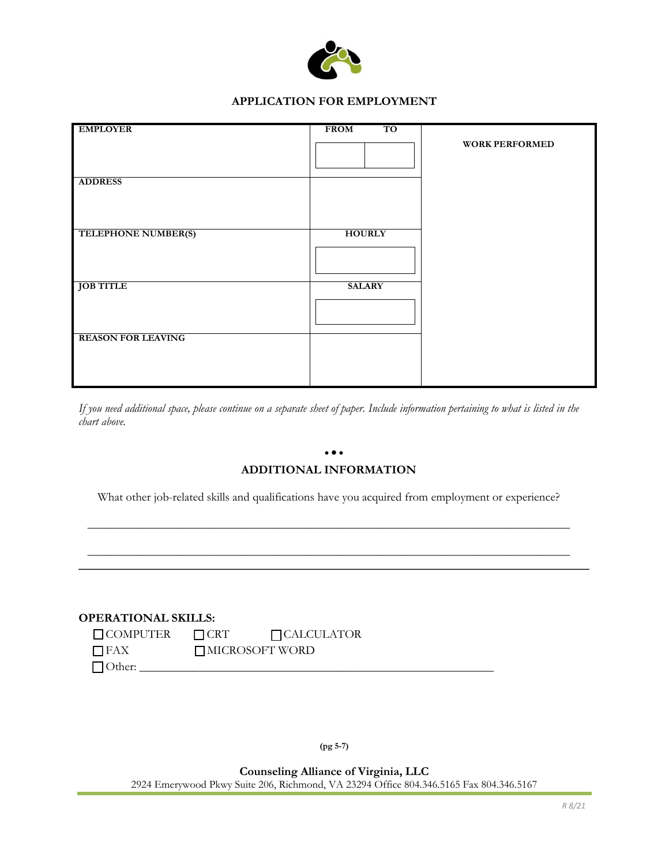

| <b>WORK PERFORMED</b>                       |  |
|---------------------------------------------|--|
|                                             |  |
| <b>ADDRESS</b>                              |  |
| <b>HOURLY</b><br><b>TELEPHONE NUMBER(S)</b> |  |
| <b>JOB TITLE</b><br><b>SALARY</b>           |  |
|                                             |  |
| <b>REASON FOR LEAVING</b>                   |  |

*If you need additional space, please continue on a separate sheet of paper. Include information pertaining to what is listed in the chart above.* 

#### **...**

# **ADDITIONAL INFORMATION**

What other job-related skills and qualifications have you acquired from employment or experience?

\_\_\_\_\_\_\_\_\_\_\_\_\_\_\_\_\_\_\_\_\_\_\_\_\_\_\_\_\_\_\_\_\_\_\_\_\_\_\_\_\_\_\_\_\_\_\_\_\_\_\_\_\_\_\_\_\_\_\_\_\_\_\_\_\_\_\_\_\_\_\_\_\_\_\_\_\_\_\_\_

\_\_\_\_\_\_\_\_\_\_\_\_\_\_\_\_\_\_\_\_\_\_\_\_\_\_\_\_\_\_\_\_\_\_\_\_\_\_\_\_\_\_\_\_\_\_\_\_\_\_\_\_\_\_\_\_\_\_\_\_\_\_\_\_\_\_\_\_\_\_\_\_\_\_\_\_\_\_\_\_ \_\_\_\_\_\_\_\_\_\_\_\_\_\_\_\_\_\_\_\_\_\_\_\_\_\_\_\_\_\_\_\_\_\_\_\_\_\_\_\_\_\_\_\_\_\_\_\_\_\_\_\_\_\_\_\_\_\_\_\_\_\_\_\_\_\_\_\_\_\_\_\_\_\_\_\_\_\_\_\_\_\_\_\_\_

#### **OPERATIONAL SKILLS:**

| $\Box$ COMPUTER | $\Box$ CRT | $\bigcap$ CALCULATOR |
|-----------------|------------|----------------------|
| $\Box$ FAX      |            | □ MICROSOFT WORD     |
| Other:          |            |                      |

**(pg 5-7)**

**Counseling Alliance of Virginia, LLC**  2924 Emerywood Pkwy Suite 206, Richmond, VA 23294 Office 804.346.5165 Fax 804.346.5167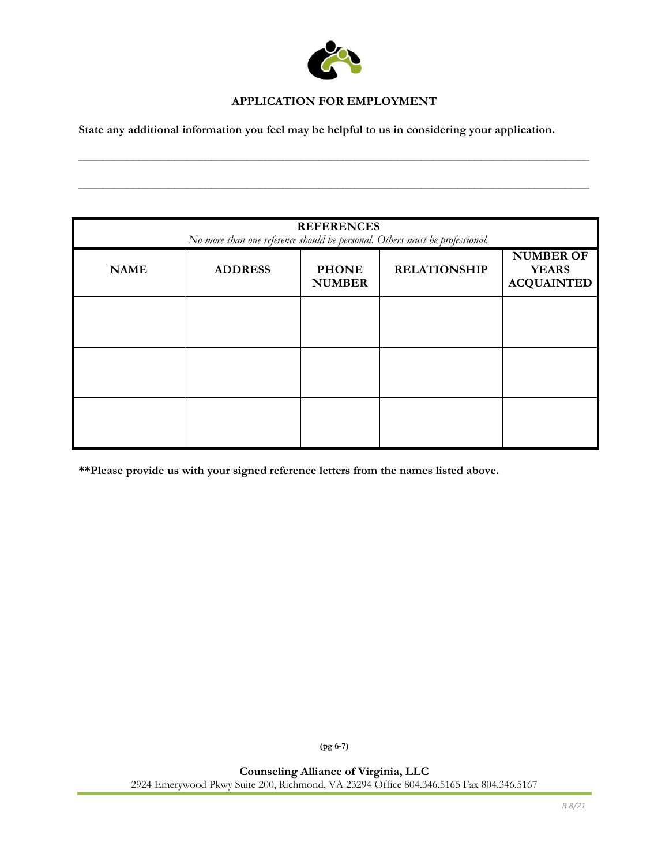

\_\_\_\_\_\_\_\_\_\_\_\_\_\_\_\_\_\_\_\_\_\_\_\_\_\_\_\_\_\_\_\_\_\_\_\_\_\_\_\_\_\_\_\_\_\_\_\_\_\_\_\_\_\_\_\_\_\_\_\_\_\_\_\_\_\_\_\_\_\_\_\_\_\_\_\_\_\_\_\_\_\_\_\_\_

\_\_\_\_\_\_\_\_\_\_\_\_\_\_\_\_\_\_\_\_\_\_\_\_\_\_\_\_\_\_\_\_\_\_\_\_\_\_\_\_\_\_\_\_\_\_\_\_\_\_\_\_\_\_\_\_\_\_\_\_\_\_\_\_\_\_\_\_\_\_\_\_\_\_\_\_\_\_\_\_\_\_\_\_\_

**State any additional information you feel may be helpful to us in considering your application.** 

| <b>REFERENCES</b><br>No more than one reference should be personal. Others must be professional. |                |                               |                     |                                                       |
|--------------------------------------------------------------------------------------------------|----------------|-------------------------------|---------------------|-------------------------------------------------------|
| <b>NAME</b>                                                                                      | <b>ADDRESS</b> | <b>PHONE</b><br><b>NUMBER</b> | <b>RELATIONSHIP</b> | <b>NUMBER OF</b><br><b>YEARS</b><br><b>ACQUAINTED</b> |
|                                                                                                  |                |                               |                     |                                                       |
|                                                                                                  |                |                               |                     |                                                       |
|                                                                                                  |                |                               |                     |                                                       |

**\*\*Please provide us with your signed reference letters from the names listed above.** 

**(pg 6-7)**